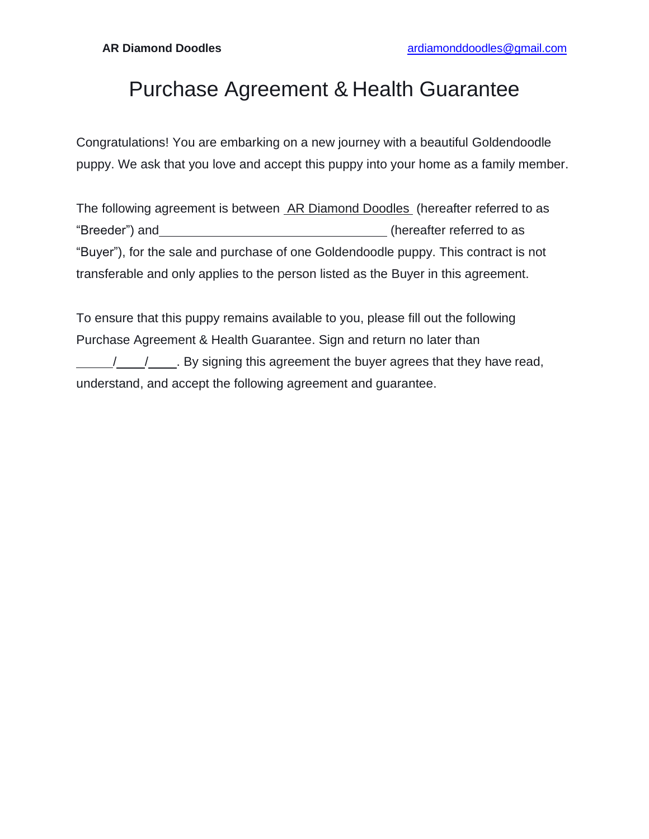## Purchase Agreement & Health Guarantee

Congratulations! You are embarking on a new journey with a beautiful Goldendoodle puppy. We ask that you love and accept this puppy into your home as a family member.

The following agreement is between AR Diamond Doodles (hereafter referred to as "Breeder") and (hereafter referred to as "Buyer"), for the sale and purchase of one Goldendoodle puppy. This contract is not transferable and only applies to the person listed as the Buyer in this agreement.

To ensure that this puppy remains available to you, please fill out the following Purchase Agreement & Health Guarantee. Sign and return no later than / / . By signing this agreement the buyer agrees that they have read, understand, and accept the following agreement and guarantee.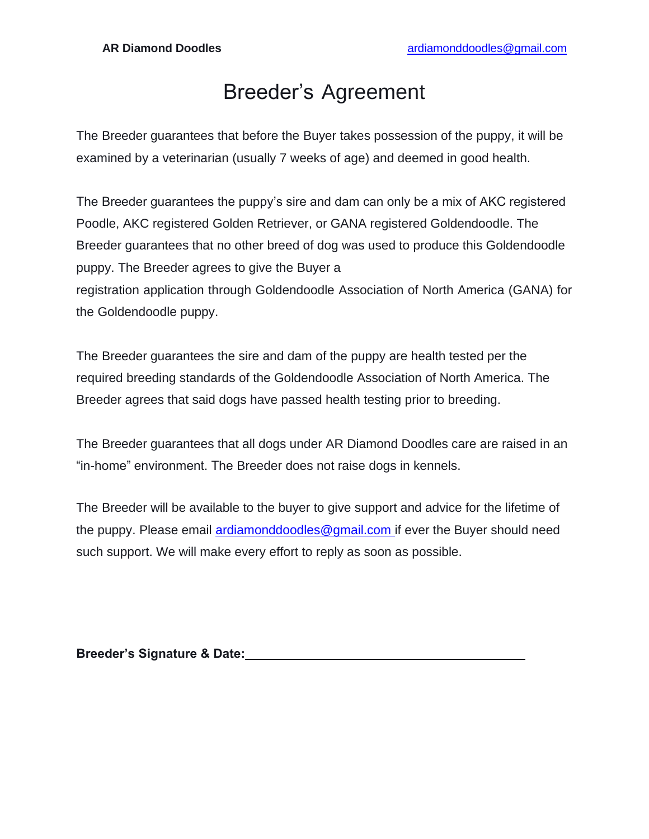### Breeder's Agreement

The Breeder guarantees that before the Buyer takes possession of the puppy, it will be examined by a veterinarian (usually 7 weeks of age) and deemed in good health.

The Breeder guarantees the puppy's sire and dam can only be a mix of AKC registered Poodle, AKC registered Golden Retriever, or GANA registered Goldendoodle. The Breeder guarantees that no other breed of dog was used to produce this Goldendoodle puppy. The Breeder agrees to give the Buyer a registration application through Goldendoodle Association of North America (GANA) for the Goldendoodle puppy.

The Breeder guarantees the sire and dam of the puppy are health tested per the required breeding standards of the Goldendoodle Association of North America. The Breeder agrees that said dogs have passed health testing prior to breeding.

The Breeder guarantees that all dogs under AR Diamond Doodles care are raised in an "in-home" environment. The Breeder does not raise dogs in kennels.

The Breeder will be available to the buyer to give support and advice for the lifetime of the puppy. Please email [ardiamonddoodles@gmail.com i](mailto:ardiamonddoodles@gmail.com)f ever the Buyer should need such support. We will make every effort to reply as soon as possible.

| <b>Breeder's Signature &amp; Date:</b> |  |
|----------------------------------------|--|
|                                        |  |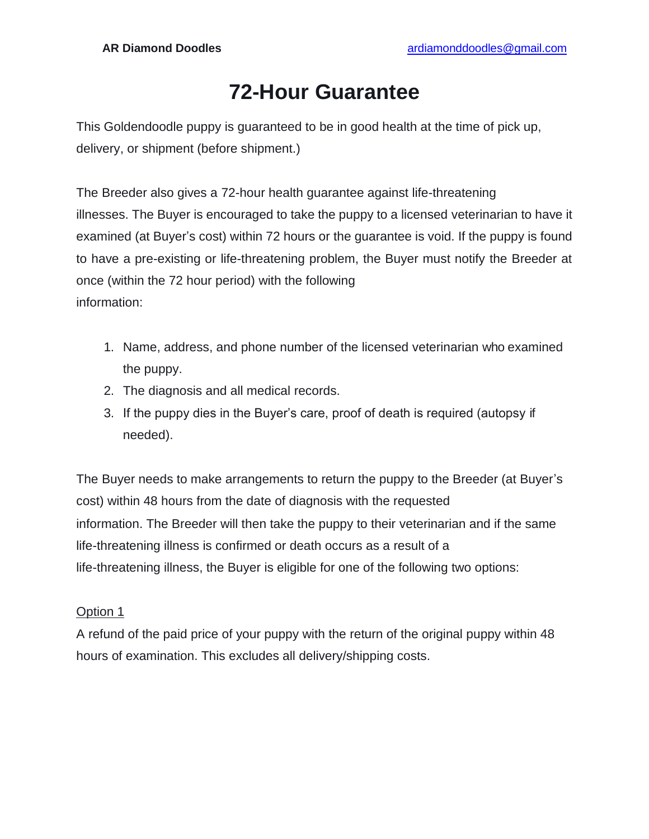# **72-Hour Guarantee**

This Goldendoodle puppy is guaranteed to be in good health at the time of pick up, delivery, or shipment (before shipment.)

The Breeder also gives a 72-hour health guarantee against life-threatening illnesses. The Buyer is encouraged to take the puppy to a licensed veterinarian to have it examined (at Buyer's cost) within 72 hours or the guarantee is void. If the puppy is found to have a pre-existing or life-threatening problem, the Buyer must notify the Breeder at once (within the 72 hour period) with the following information:

- 1. Name, address, and phone number of the licensed veterinarian who examined the puppy.
- 2. The diagnosis and all medical records.
- 3. If the puppy dies in the Buyer's care, proof of death is required (autopsy if needed).

The Buyer needs to make arrangements to return the puppy to the Breeder (at Buyer's cost) within 48 hours from the date of diagnosis with the requested information. The Breeder will then take the puppy to their veterinarian and if the same life-threatening illness is confirmed or death occurs as a result of a life-threatening illness, the Buyer is eligible for one of the following two options:

#### Option 1

A refund of the paid price of your puppy with the return of the original puppy within 48 hours of examination. This excludes all delivery/shipping costs.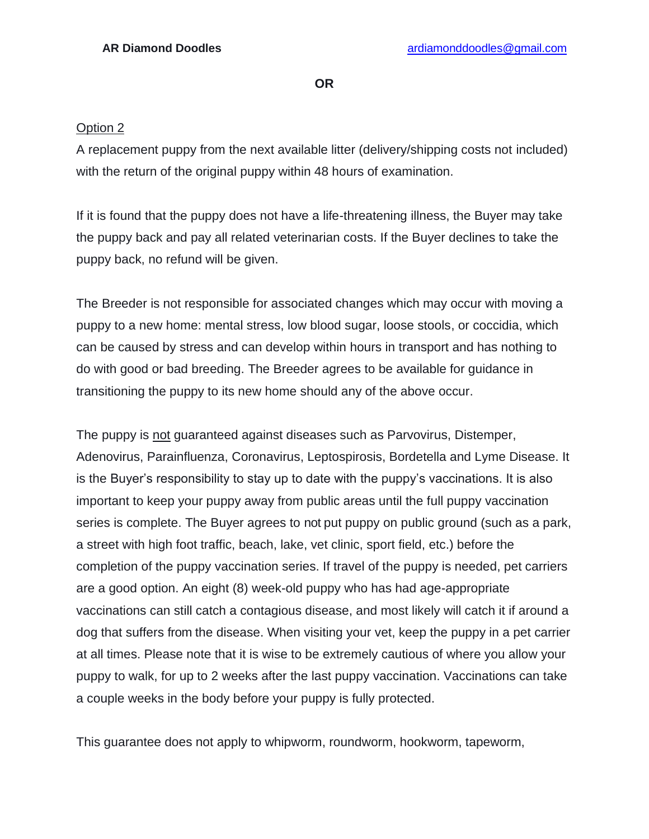**OR**

#### Option 2

A replacement puppy from the next available litter (delivery/shipping costs not included) with the return of the original puppy within 48 hours of examination.

If it is found that the puppy does not have a life-threatening illness, the Buyer may take the puppy back and pay all related veterinarian costs. If the Buyer declines to take the puppy back, no refund will be given.

The Breeder is not responsible for associated changes which may occur with moving a puppy to a new home: mental stress, low blood sugar, loose stools, or coccidia, which can be caused by stress and can develop within hours in transport and has nothing to do with good or bad breeding. The Breeder agrees to be available for guidance in transitioning the puppy to its new home should any of the above occur.

The puppy is not guaranteed against diseases such as Parvovirus, Distemper, Adenovirus, Parainfluenza, Coronavirus, Leptospirosis, Bordetella and Lyme Disease. It is the Buyer's responsibility to stay up to date with the puppy's vaccinations. It is also important to keep your puppy away from public areas until the full puppy vaccination series is complete. The Buyer agrees to not put puppy on public ground (such as a park, a street with high foot traffic, beach, lake, vet clinic, sport field, etc.) before the completion of the puppy vaccination series. If travel of the puppy is needed, pet carriers are a good option. An eight (8) week-old puppy who has had age-appropriate vaccinations can still catch a contagious disease, and most likely will catch it if around a dog that suffers from the disease. When visiting your vet, keep the puppy in a pet carrier at all times. Please note that it is wise to be extremely cautious of where you allow your puppy to walk, for up to 2 weeks after the last puppy vaccination. Vaccinations can take a couple weeks in the body before your puppy is fully protected.

This guarantee does not apply to whipworm, roundworm, hookworm, tapeworm,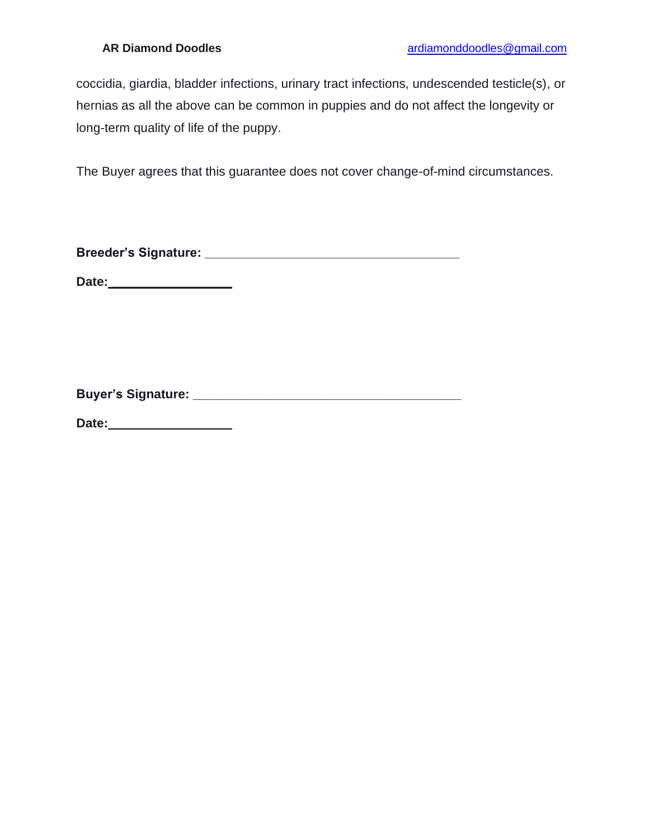coccidia, giardia, bladder infections, urinary tract infections, undescended testicle(s), or hernias as all the above can be common in puppies and do not affect the longevity or long-term quality of life of the puppy.

The Buyer agrees that this guarantee does not cover change-of-mind circumstances.

**Breeder's Signature: \_\_\_\_\_\_\_\_\_\_\_\_\_\_\_\_\_\_\_\_\_\_\_\_\_\_\_\_\_\_\_\_\_\_\_\_**

**Date:** \_\_\_\_\_\_\_\_\_\_\_\_\_\_\_\_\_\_\_

**Buyer's Signature: \_\_\_\_\_\_\_\_\_\_\_\_\_\_\_\_\_\_\_\_\_\_\_\_\_\_\_\_\_\_\_\_\_\_\_\_\_\_**

**Date:** \_\_\_\_\_\_\_\_\_\_\_\_\_\_\_\_\_\_\_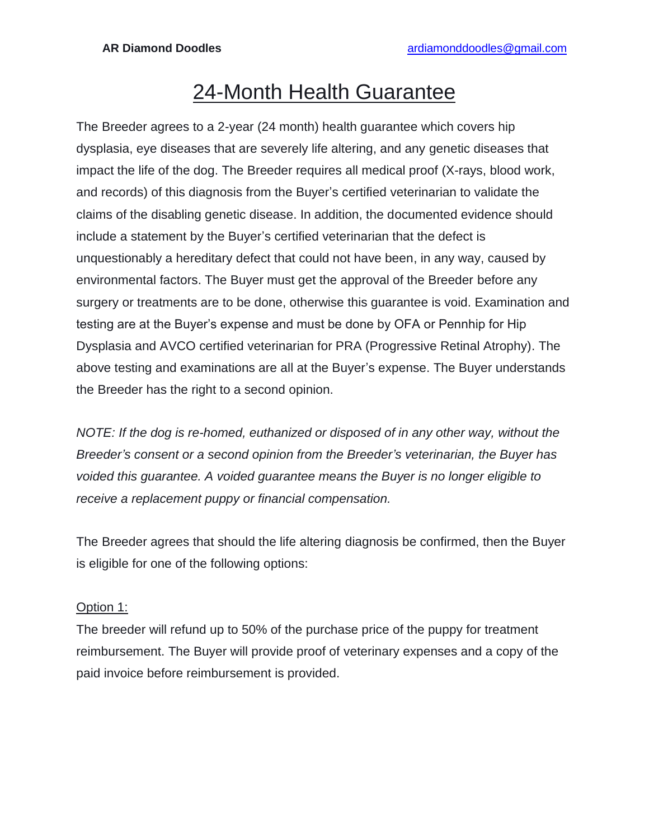### 24-Month Health Guarantee

The Breeder agrees to a 2-year (24 month) health guarantee which covers hip dysplasia, eye diseases that are severely life altering, and any genetic diseases that impact the life of the dog. The Breeder requires all medical proof (X-rays, blood work, and records) of this diagnosis from the Buyer's certified veterinarian to validate the claims of the disabling genetic disease. In addition, the documented evidence should include a statement by the Buyer's certified veterinarian that the defect is unquestionably a hereditary defect that could not have been, in any way, caused by environmental factors. The Buyer must get the approval of the Breeder before any surgery or treatments are to be done, otherwise this guarantee is void. Examination and testing are at the Buyer's expense and must be done by OFA or Pennhip for Hip Dysplasia and AVCO certified veterinarian for PRA (Progressive Retinal Atrophy). The above testing and examinations are all at the Buyer's expense. The Buyer understands the Breeder has the right to a second opinion.

*NOTE: If the dog is re-homed, euthanized or disposed of in any other way, without the Breeder's consent or a second opinion from the Breeder's veterinarian, the Buyer has voided this guarantee. A voided guarantee means the Buyer is no longer eligible to receive a replacement puppy or financial compensation.*

The Breeder agrees that should the life altering diagnosis be confirmed, then the Buyer is eligible for one of the following options:

#### Option 1:

The breeder will refund up to 50% of the purchase price of the puppy for treatment reimbursement. The Buyer will provide proof of veterinary expenses and a copy of the paid invoice before reimbursement is provided.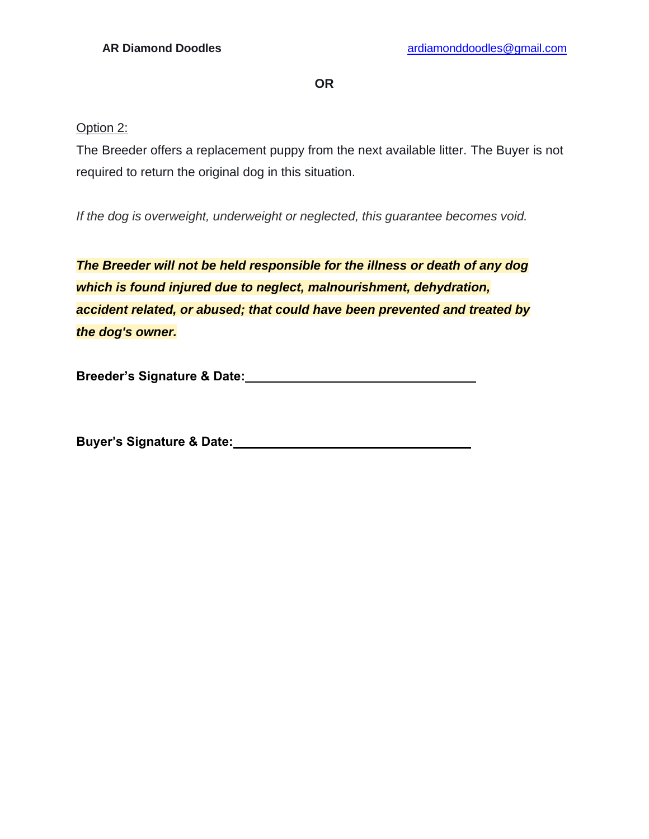**OR**

#### Option 2:

The Breeder offers a replacement puppy from the next available litter. The Buyer is not required to return the original dog in this situation.

*If the dog is overweight, underweight or neglected, this guarantee becomes void.*

*The Breeder will not be held responsible for the illness or death of any dog which is found injured due to neglect, malnourishment, dehydration, accident related, or abused; that could have been prevented and treated by the dog's owner.*

**Breeder's Signature & Date:**

**Buyer's Signature & Date:**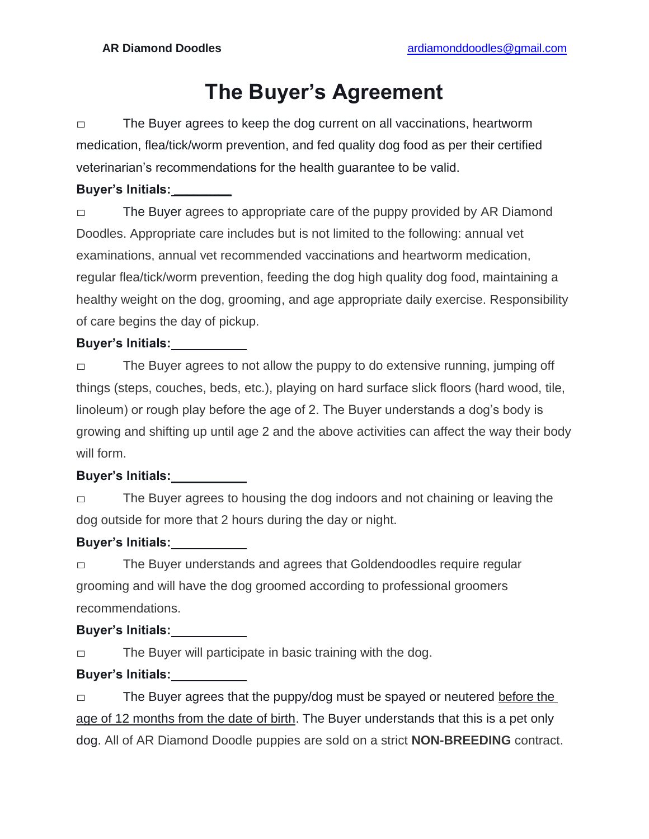# **The Buyer's Agreement**

□ The Buyer agrees to keep the dog current on all vaccinations, heartworm medication, flea/tick/worm prevention, and fed quality dog food as per their certified veterinarian's recommendations for the health guarantee to be valid.

#### **Buyer's Initials: \_\_\_\_\_\_\_\_\_**

□ The Buyer agrees to appropriate care of the puppy provided by AR Diamond Doodles. Appropriate care includes but is not limited to the following: annual vet examinations, annual vet recommended vaccinations and heartworm medication, regular flea/tick/worm prevention, feeding the dog high quality dog food, maintaining a healthy weight on the dog, grooming, and age appropriate daily exercise. Responsibility of care begins the day of pickup.

#### **Buyer's Initials:**

□ The Buyer agrees to not allow the puppy to do extensive running, jumping off things (steps, couches, beds, etc.), playing on hard surface slick floors (hard wood, tile, linoleum) or rough play before the age of 2. The Buyer understands a dog's body is growing and shifting up until age 2 and the above activities can affect the way their body will form.

#### **Buyer's Initials:**

□ The Buyer agrees to housing the dog indoors and not chaining or leaving the dog outside for more that 2 hours during the day or night.

#### **Buyer's Initials:**

□ The Buyer understands and agrees that Goldendoodles require regular grooming and will have the dog groomed according to professional groomers recommendations.

#### **Buyer's Initials:**

□ The Buyer will participate in basic training with the dog.

#### **Buyer's Initials:**

□ The Buyer agrees that the puppy/dog must be spayed or neutered before the age of 12 months from the date of birth. The Buyer understands that this is a pet only dog. All of AR Diamond Doodle puppies are sold on a strict **NON-BREEDING** contract.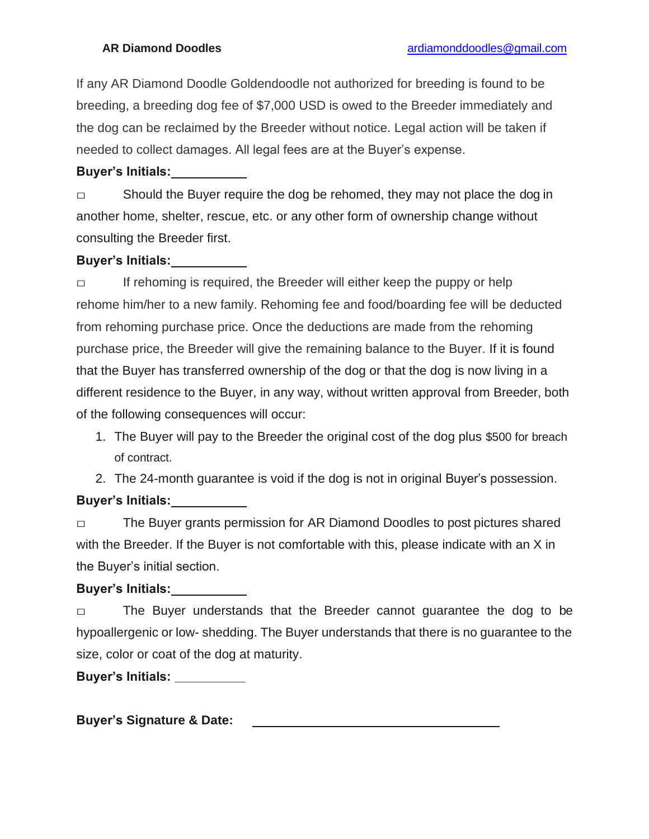If any AR Diamond Doodle Goldendoodle not authorized for breeding is found to be breeding, a breeding dog fee of \$7,000 USD is owed to the Breeder immediately and the dog can be reclaimed by the Breeder without notice. Legal action will be taken if needed to collect damages. All legal fees are at the Buyer's expense.

#### **Buyer's Initials:**

□ Should the Buyer require the dog be rehomed, they may not place the dog in another home, shelter, rescue, etc. or any other form of ownership change without consulting the Breeder first.

#### **Buyer's Initials:**

□ If rehoming is required, the Breeder will either keep the puppy or help rehome him/her to a new family. Rehoming fee and food/boarding fee will be deducted from rehoming purchase price. Once the deductions are made from the rehoming purchase price, the Breeder will give the remaining balance to the Buyer. If it is found that the Buyer has transferred ownership of the dog or that the dog is now living in a different residence to the Buyer, in any way, without written approval from Breeder, both of the following consequences will occur:

- 1. The Buyer will pay to the Breeder the original cost of the dog plus \$500 for breach of contract.
- 2. The 24-month guarantee is void if the dog is not in original Buyer's possession.

#### **Buyer's Initials:**

□ The Buyer grants permission for AR Diamond Doodles to post pictures shared with the Breeder. If the Buyer is not comfortable with this, please indicate with an X in the Buyer's initial section.

#### **Buyer's Initials:**

□ The Buyer understands that the Breeder cannot guarantee the dog to be hypoallergenic or low- shedding. The Buyer understands that there is no guarantee to the size, color or coat of the dog at maturity.

**Buyer's Initials: \_\_\_\_\_\_\_\_\_\_**

**Buyer's Signature & Date:**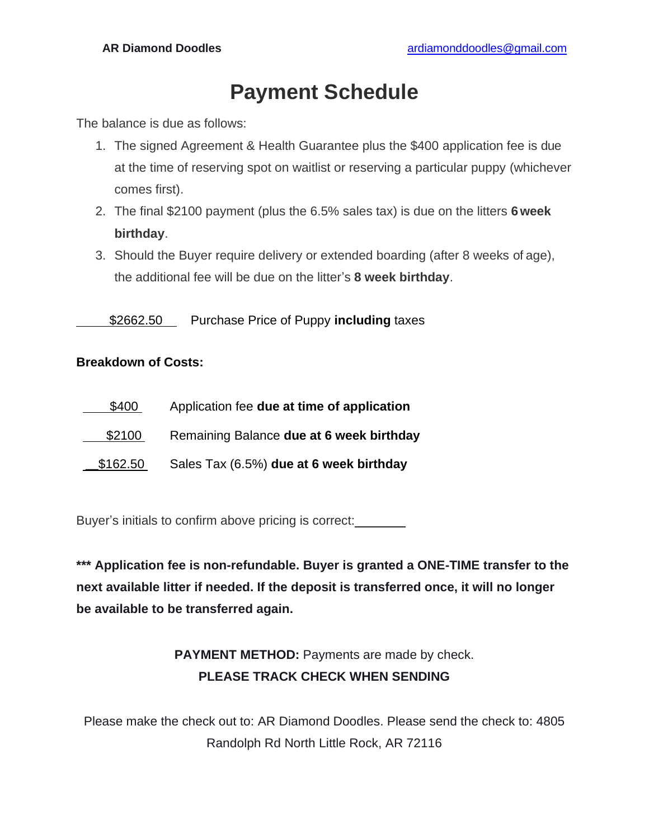### **Payment Schedule**

The balance is due as follows:

- 1. The signed Agreement & Health Guarantee plus the \$400 application fee is due at the time of reserving spot on waitlist or reserving a particular puppy (whichever comes first).
- 2. The final \$2100 payment (plus the 6.5% sales tax) is due on the litters **6 week birthday**.
- 3. Should the Buyer require delivery or extended boarding (after 8 weeks of age), the additional fee will be due on the litter's **8 week birthday**.

\$2662.50 Purchase Price of Puppy **including** taxes

#### **Breakdown of Costs:**

| \$400    | Application fee due at time of application |
|----------|--------------------------------------------|
| \$2100   | Remaining Balance due at 6 week birthday   |
| \$162.50 | Sales Tax (6.5%) due at 6 week birthday    |

Buyer's initials to confirm above pricing is correct:

**\*\*\* Application fee is non-refundable. Buyer is granted a ONE-TIME transfer to the next available litter if needed. If the deposit is transferred once, it will no longer be available to be transferred again.**

### **PAYMENT METHOD:** Payments are made by check. **PLEASE TRACK CHECK WHEN SENDING**

Please make the check out to: AR Diamond Doodles. Please send the check to: 4805 Randolph Rd North Little Rock, AR 72116